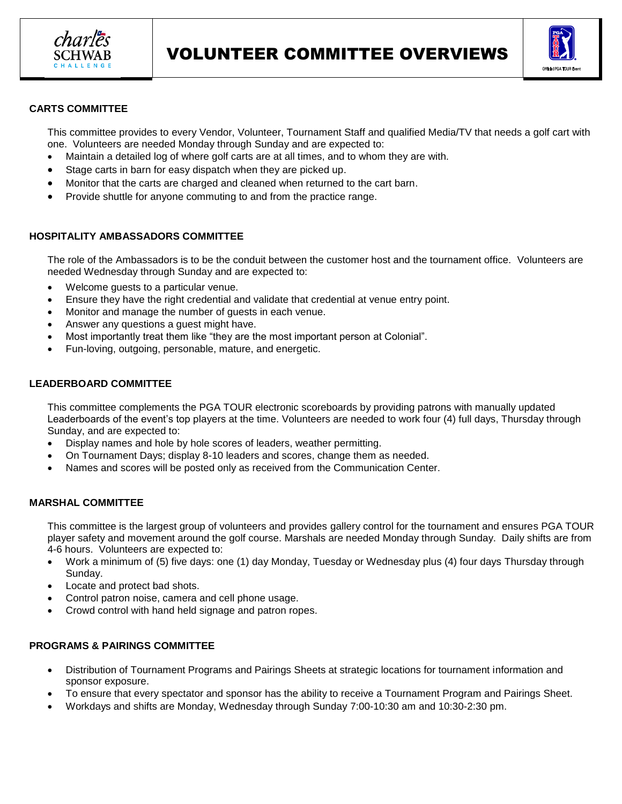



### **CARTS COMMITTEE**

This committee provides to every Vendor, Volunteer, Tournament Staff and qualified Media/TV that needs a golf cart with one. Volunteers are needed Monday through Sunday and are expected to:

- Maintain a detailed log of where golf carts are at all times, and to whom they are with.
- Stage carts in barn for easy dispatch when they are picked up.
- Monitor that the carts are charged and cleaned when returned to the cart barn.
- Provide shuttle for anyone commuting to and from the practice range.

### **HOSPITALITY AMBASSADORS COMMITTEE**

The role of the Ambassadors is to be the conduit between the customer host and the tournament office. Volunteers are needed Wednesday through Sunday and are expected to:

- Welcome guests to a particular venue.
- Ensure they have the right credential and validate that credential at venue entry point.
- Monitor and manage the number of guests in each venue.
- Answer any questions a guest might have.
- Most importantly treat them like "they are the most important person at Colonial".
- Fun-loving, outgoing, personable, mature, and energetic.

### **LEADERBOARD COMMITTEE**

This committee complements the PGA TOUR electronic scoreboards by providing patrons with manually updated Leaderboards of the event's top players at the time. Volunteers are needed to work four (4) full days, Thursday through Sunday, and are expected to:

- Display names and hole by hole scores of leaders, weather permitting.
- On Tournament Days; display 8-10 leaders and scores, change them as needed.
- Names and scores will be posted only as received from the Communication Center.

# **MARSHAL COMMITTEE**

This committee is the largest group of volunteers and provides gallery control for the tournament and ensures PGA TOUR player safety and movement around the golf course. Marshals are needed Monday through Sunday. Daily shifts are from 4-6 hours. Volunteers are expected to:

- Work a minimum of (5) five days: one (1) day Monday, Tuesday or Wednesday plus (4) four days Thursday through Sunday.
- Locate and protect bad shots.
- Control patron noise, camera and cell phone usage.
- Crowd control with hand held signage and patron ropes.

#### **PROGRAMS & PAIRINGS COMMITTEE**

- Distribution of Tournament Programs and Pairings Sheets at strategic locations for tournament information and sponsor exposure.
- To ensure that every spectator and sponsor has the ability to receive a Tournament Program and Pairings Sheet.
- Workdays and shifts are Monday, Wednesday through Sunday 7:00-10:30 am and 10:30-2:30 pm.